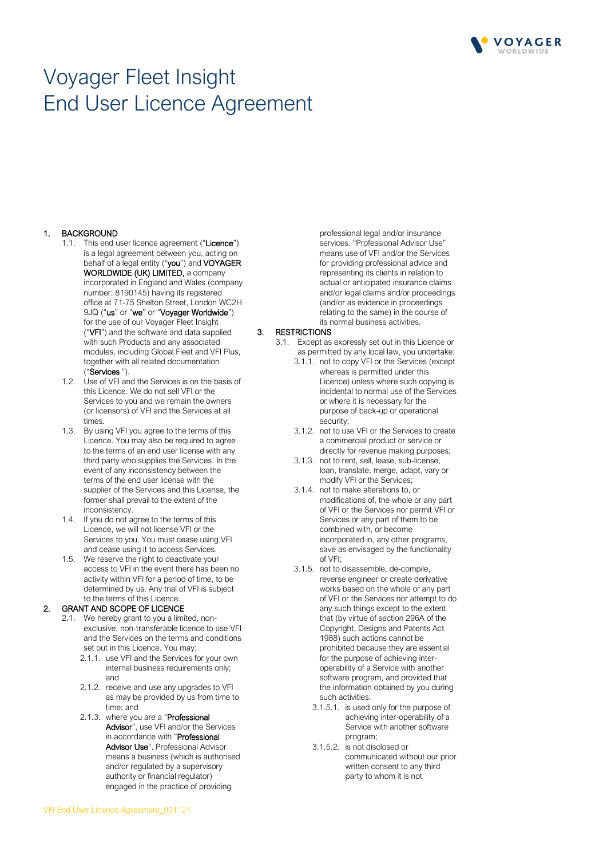

# Voyager Fleet Insight End User Licence Agreement

## 1. BACKGROUND

- 1.1. This end user licence agreement ("Licence") is a legal agreement between you, acting on behalf of a legal entity ("you") and VOYAGER WORLDWIDE (UK) LIMITED, a company incorporated in England and Wales (company number: 8190145) having its registered office at 71-75 Shelton Street, London WC2H 9JQ ("us" or "we" or "Voyager Worldwide") for the use of our Voyager Fleet Insight ("VFI") and the software and data supplied with such Products and any associated modules, including Global Fleet and VFI Plus, together with all related documentation ("Services ").
- 1.2. Use of VFI and the Services is on the basis of this Licence. We do not sell VFI or the Services to you and we remain the owners (or licensors) of VFI and the Services at all times.
- 1.3. By using VFI you agree to the terms of this Licence. You may also be required to agree to the terms of an end user license with any third party who supplies the Services. In the event of any inconsistency between the terms of the end user license with the supplier of the Services and this License, the former shall prevail to the extent of the inconsistency.
- 1.4. If you do not agree to the terms of this Licence, we will not license VFI or the Services to you. You must cease using VFI and cease using it to access Services.
- 1.5. We reserve the right to deactivate your access to VFI in the event there has been no activity within VFI for a period of time, to be determined by us. Any trial of VFI is subject to the terms of this Licence.

## 2. GRANT AND SCOPE OF LICENCE

- 2.1. We hereby grant to you a limited, nonexclusive, non-transferable licence to use VFI and the Services on the terms and conditions set out in this Licence. You may:
	- 2.1.1. use VFI and the Services for your own internal business requirements only; and
	- 2.1.2. receive and use any upgrades to VFI as may be provided by us from time to time; and
	- 2.1.3. where you are a "Professional Advisor", use VFI and/or the Services in accordance with "Professional Advisor Use". Professional Advisor means a business (which is authorised and/or regulated by a supervisory authority or financial regulator) engaged in the practice of providing

professional legal and/or insurance services. "Professional Advisor Use" means use of VFI and/or the Services for providing professional advice and representing its clients in relation to actual or anticipated insurance claims and/or legal claims and/or proceedings (and/or as evidence in proceedings relating to the same) in the course of its normal business activities.

## 3. RESTRICTIONS

- 3.1. Except as expressly set out in this Licence or as permitted by any local law, you undertake:
	- 3.1.1. not to copy VFI or the Services (except whereas is permitted under this Licence) unless where such copying is incidental to normal use of the Services or where it is necessary for the purpose of back-up or operational security;
	- 3.1.2. not to use VFI or the Services to create a commercial product or service or directly for revenue making purposes;
	- 3.1.3. not to rent, sell, lease, sub-license, loan, translate, merge, adapt, vary or modify VFI or the Services;
	- 3.1.4. not to make alterations to, or modifications of, the whole or any part of VFI or the Services nor permit VFI or Services or any part of them to be combined with, or become incorporated in, any other programs, save as envisaged by the functionality of VFI;
	- 3.1.5. not to disassemble, de-compile, reverse engineer or create derivative works based on the whole or any part of VFI or the Services nor attempt to do any such things except to the extent that (by virtue of section 296A of the Copyright, Designs and Patents Act 1988) such actions cannot be prohibited because they are essential for the purpose of achieving interoperability of a Service with another software program, and provided that the information obtained by you during such activities:
		- 3.1.5.1. is used only for the purpose of achieving inter-operability of a Service with another software program;
		- 3.1.5.2. is not disclosed or communicated without our prior written consent to any third party to whom it is not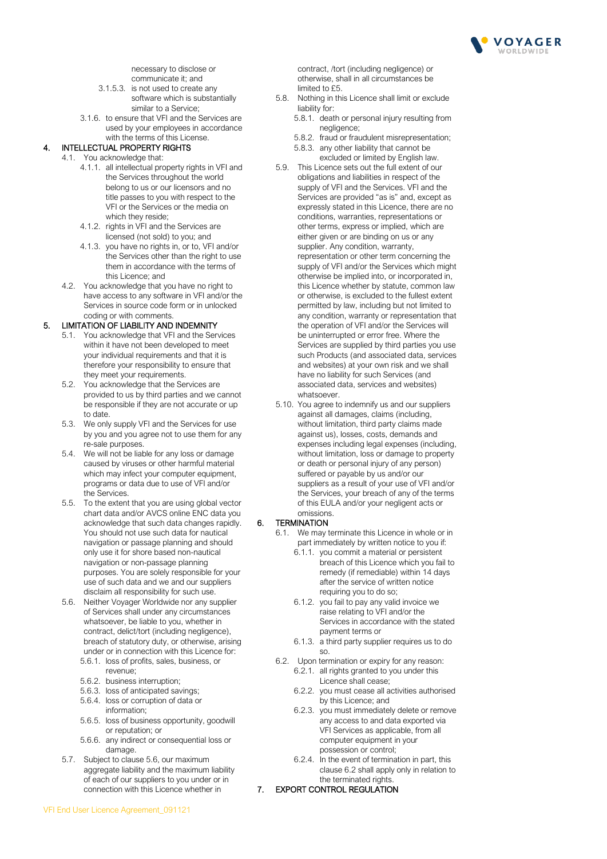

necessary to disclose or communicate it; and

- 3.1.5.3. is not used to create any software which is substantially similar to a Service;
- 3.1.6. to ensure that VFI and the Services are used by your employees in accordance with the terms of this License.

## 4. INTELLECTUAL PROPERTY RIGHTS

### 4.1. You acknowledge that:

- 4.1.1. all intellectual property rights in VFI and the Services throughout the world belong to us or our licensors and no title passes to you with respect to the VFI or the Services or the media on which they reside;
- 4.1.2. rights in VFI and the Services are licensed (not sold) to you; and
- 4.1.3. you have no rights in, or to, VFI and/or the Services other than the right to use them in accordance with the terms of this Licence; and
- 4.2. You acknowledge that you have no right to have access to any software in VFI and/or the Services in source code form or in unlocked coding or with comments.

## 5. LIMITATION OF LIABILITY AND INDEMNITY

- 5.1. You acknowledge that VFI and the Services within it have not been developed to meet your individual requirements and that it is therefore your responsibility to ensure that they meet your requirements.
- 5.2. You acknowledge that the Services are provided to us by third parties and we cannot be responsible if they are not accurate or up to date.
- 5.3. We only supply VFI and the Services for use by you and you agree not to use them for any re-sale purposes.
- 5.4. We will not be liable for any loss or damage caused by viruses or other harmful material which may infect your computer equipment, programs or data due to use of VFI and/or the Services.
- 5.5. To the extent that you are using global vector chart data and/or AVCS online ENC data you acknowledge that such data changes rapidly. You should not use such data for nautical navigation or passage planning and should only use it for shore based non-nautical navigation or non-passage planning purposes. You are solely responsible for your use of such data and we and our suppliers disclaim all responsibility for such use.
- 5.6. Neither Voyager Worldwide nor any supplier of Services shall under any circumstances whatsoever, be liable to you, whether in contract, delict/tort (including negligence), breach of statutory duty, or otherwise, arising under or in connection with this Licence for: 5.6.1. loss of profits, sales, business, or
	- revenue;
	- 5.6.2. business interruption;
	- 5.6.3. loss of anticipated savings;
	- 5.6.4. loss or corruption of data or information;
	- 5.6.5. loss of business opportunity, goodwill or reputation; or
	- 5.6.6. any indirect or consequential loss or damage
- 5.7. Subject to clause 5.6, our maximum aggregate liability and the maximum liability of each of our suppliers to you under or in connection with this Licence whether in

contract, /tort (including negligence) or otherwise, shall in all circumstances be limited to £5.

- 5.8. Nothing in this Licence shall limit or exclude liability for:
	- 5.8.1. death or personal injury resulting from negligence;
	- 5.8.2. fraud or fraudulent misrepresentation; 5.8.3. any other liability that cannot be excluded or limited by English law.
- 5.9. This Licence sets out the full extent of our obligations and liabilities in respect of the supply of VFI and the Services. VFI and the Services are provided "as is" and, except as expressly stated in this Licence, there are no conditions, warranties, representations or other terms, express or implied, which are either given or are binding on us or any supplier. Any condition, warranty, representation or other term concerning the supply of VFI and/or the Services which might otherwise be implied into, or incorporated in, this Licence whether by statute, common law or otherwise, is excluded to the fullest extent permitted by law, including but not limited to any condition, warranty or representation that the operation of VFI and/or the Services will be uninterrupted or error free. Where the Services are supplied by third parties you use such Products (and associated data, services and websites) at your own risk and we shall have no liability for such Services (and associated data, services and websites) whatsoever.
- 5.10. You agree to indemnify us and our suppliers against all damages, claims (including, without limitation, third party claims made against us), losses, costs, demands and expenses including legal expenses (including, without limitation, loss or damage to property or death or personal injury of any person) suffered or payable by us and/or our suppliers as a result of your use of VFI and/or the Services, your breach of any of the terms of this EULA and/or your negligent acts or omissions.

## 6. TERMINATION

6.1. We may terminate this Licence in whole or in part immediately by written notice to you if:

- 6.1.1. you commit a material or persistent breach of this Licence which you fail to remedy (if remediable) within 14 days after the service of written notice requiring you to do so;
- 6.1.2. you fail to pay any valid invoice we raise relating to VFI and/or the Services in accordance with the stated payment terms or
- 6.1.3. a third party supplier requires us to do so.
- 6.2. Upon termination or expiry for any reason:
	- 6.2.1. all rights granted to you under this Licence shall cease;
	- 6.2.2. you must cease all activities authorised by this Licence; and
	- 6.2.3. you must immediately delete or remove any access to and data exported via VFI Services as applicable, from all computer equipment in your possession or control;
	- 6.2.4. In the event of termination in part, this clause 6.2 shall apply only in relation to the terminated rights.
- 7. EXPORT CONTROL REGULATION